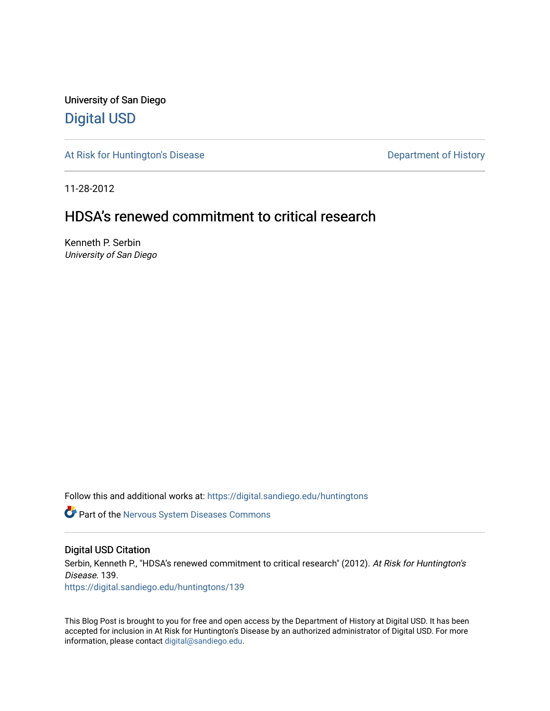University of San Diego [Digital USD](https://digital.sandiego.edu/)

[At Risk for Huntington's Disease](https://digital.sandiego.edu/huntingtons) **Department of History** Department of History

11-28-2012

## HDSA's renewed commitment to critical research

Kenneth P. Serbin University of San Diego

Follow this and additional works at: [https://digital.sandiego.edu/huntingtons](https://digital.sandiego.edu/huntingtons?utm_source=digital.sandiego.edu%2Fhuntingtons%2F139&utm_medium=PDF&utm_campaign=PDFCoverPages)

**C** Part of the [Nervous System Diseases Commons](http://network.bepress.com/hgg/discipline/928?utm_source=digital.sandiego.edu%2Fhuntingtons%2F139&utm_medium=PDF&utm_campaign=PDFCoverPages)

#### Digital USD Citation

Serbin, Kenneth P., "HDSA's renewed commitment to critical research" (2012). At Risk for Huntington's Disease. 139. [https://digital.sandiego.edu/huntingtons/139](https://digital.sandiego.edu/huntingtons/139?utm_source=digital.sandiego.edu%2Fhuntingtons%2F139&utm_medium=PDF&utm_campaign=PDFCoverPages)

This Blog Post is brought to you for free and open access by the Department of History at Digital USD. It has been accepted for inclusion in At Risk for Huntington's Disease by an authorized administrator of Digital USD. For more information, please contact [digital@sandiego.edu.](mailto:digital@sandiego.edu)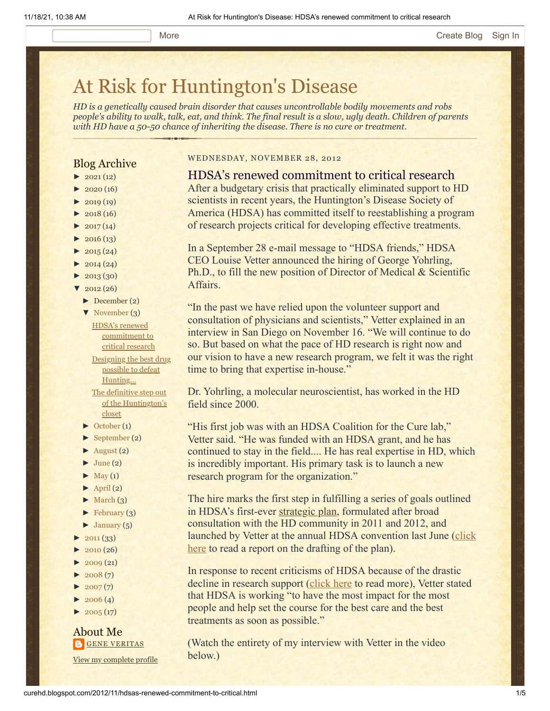# [At Risk for Huntington's Disease](http://curehd.blogspot.com/)

*HD is a genetically caused brain disorder that causes uncontrollable bodily movements and robs people's ability to walk, talk, eat, and think. The final result is a slow, ugly death. Children of parents with HD have a 50-50 chance of inheriting the disease. There is no cure or treatment.*

#### Blog Archive

- $\blacktriangleright$  [2021](http://curehd.blogspot.com/2021/) (12)
- $\blacktriangleright$  [2020](http://curehd.blogspot.com/2020/) (16)
- $\blacktriangleright$  [2019](http://curehd.blogspot.com/2019/) (19)
- $\blacktriangleright$  [2018](http://curehd.blogspot.com/2018/) (16)
- $\blacktriangleright$  [2017](http://curehd.blogspot.com/2017/)(14)  $\blacktriangleright$  [2016](http://curehd.blogspot.com/2016/) (13)
- $\blacktriangleright$  [2015](http://curehd.blogspot.com/2015/) (24)
- $\blacktriangleright$  [2014](http://curehd.blogspot.com/2014/) (24)
- $\blacktriangleright$  [2013](http://curehd.blogspot.com/2013/) (30)
- $\sqrt{2012(26)}$  $\sqrt{2012(26)}$  $\sqrt{2012(26)}$ 
	- [►](javascript:void(0)) [December](http://curehd.blogspot.com/2012/12/) (2)
	- [▼](javascript:void(0)) [November](http://curehd.blogspot.com/2012/11/) (3)
		- HDSA's renewed [commitment](http://curehd.blogspot.com/2012/11/hdsas-renewed-commitment-to-critical.html) to critical research Designing the best drug possible to defeat [Hunting...](http://curehd.blogspot.com/2012/11/designing-best-drug-possible-to-defeat_17.html) The definitive step out of the [Huntington's](http://curehd.blogspot.com/2012/11/the-definitive-step-out-of-huntingtons.html) closet
	- [►](javascript:void(0)) [October](http://curehd.blogspot.com/2012/10/) (1)
	- [►](javascript:void(0)) [September](http://curehd.blogspot.com/2012/09/) (2)
	- $\blacktriangleright$  [August](http://curehd.blogspot.com/2012/08/) (2)
	- $\blacktriangleright$  [June](http://curehd.blogspot.com/2012/06/) (2)
	- $\blacktriangleright$  [May](http://curehd.blogspot.com/2012/05/) (1)
	- $\blacktriangleright$  [April](http://curehd.blogspot.com/2012/04/) (2)
	- $\blacktriangleright$  [March](http://curehd.blogspot.com/2012/03/) (3)
	- $\blacktriangleright$  [February](http://curehd.blogspot.com/2012/02/) (3)
	- $\blacktriangleright$  [January](http://curehd.blogspot.com/2012/01/)  $(5)$
- $\blacktriangleright$  [2011](http://curehd.blogspot.com/2011/) (33)
- $2010(26)$  $2010(26)$
- $2009(21)$  $2009(21)$
- $2008(7)$  $2008(7)$
- $2007(7)$  $2007(7)$
- $\blacktriangleright$  [2006](http://curehd.blogspot.com/2006/) (4)
- $\blacktriangleright$  [2005](http://curehd.blogspot.com/2005/) (17)

### About Me **GENE [VERITAS](https://www.blogger.com/profile/10911736205741688185)**

View my [complete](https://www.blogger.com/profile/10911736205741688185) profile

#### WEDNESDAY, NOVEMBER 28, 2012

#### HDSA's renewed commitment to critical research

After a budgetary crisis that practically eliminated support to HD scientists in recent years, the Huntington's Disease Society of America (HDSA) has committed itself to reestablishing a program of research projects critical for developing effective treatments.

In a September 28 e-mail message to "HDSA friends," HDSA CEO Louise Vetter announced the hiring of George Yohrling, Ph.D., to fill the new position of Director of Medical & Scientific Affairs.

"In the past we have relied upon the volunteer support and consultation of physicians and scientists," Vetter explained in an interview in San Diego on November 16. "We will continue to do so. But based on what the pace of HD research is right now and our vision to have a new research program, we felt it was the right time to bring that expertise in-house."

Dr. Yohrling, a molecular neuroscientist, has worked in the HD field since 2000.

"His first job was with an HDSA Coalition for the Cure lab," Vetter said. "He was funded with an HDSA grant, and he has continued to stay in the field.... He has real expertise in HD, which is incredibly important. His primary task is to launch a new research program for the organization."

The hire marks the first step in fulfilling a series of goals outlined in HDSA's first-ever [strategic plan,](http://www.hdsa.org/about/planofwork201011/hdsa-strategic-plan-introduction.html) formulated after broad consultation with the HD community in 2011 and 2012, and [launched by Vetter at the annual HDSA convention last June \(click](http://curehd.blogspot.com/2012/02/its-time-for-huntingtons-community-to.html) here to read a report on the drafting of the plan).

In response to recent criticisms of HDSA because of the drastic decline in research support ([click here](http://curehd.blogspot.com/2011/10/making-sense-of-huntingtons.html) to read more), Vetter stated that HDSA is working "to have the most impact for the most people and help set the course for the best care and the best treatments as soon as possible."

(Watch the entirety of my interview with Vetter in the video below.)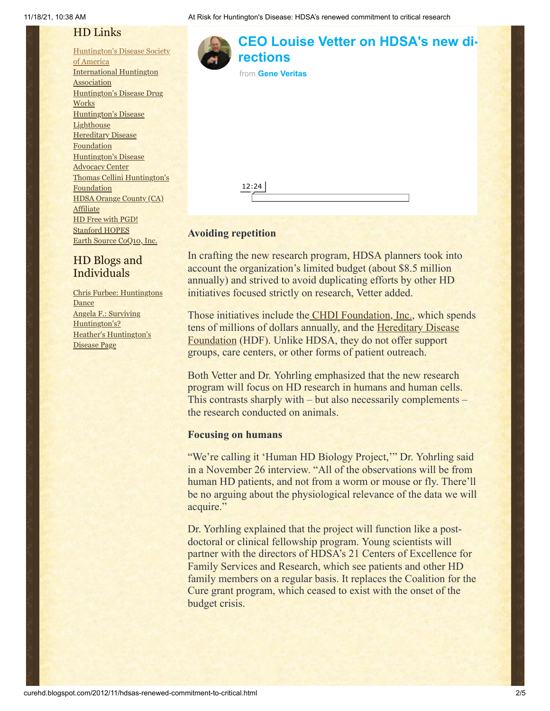## HD Links

[Huntington's](http://www.hdsa.org/) Disease Society of America [International](http://www.huntington-assoc.com/) Huntington **Association** [Huntington's](http://hddrugworks.org/) Disease Drug **Works** [Huntington's](http://www.hdlighthouse.org/) Disease **Lighthouse Hereditary Disease** [Foundation](http://www.hdfoundation.org/) [Huntington's](http://www.hdac.org/) Disease Advocacy Center Thomas [Cellini Huntington's](http://www.ourtchfoundation.org/) Foundation HDSA Orange County (CA) **[Affiliate](http://www.hdsaoc.org/)** HD Free with [PGD!](http://www.hdfreewithpgd.com/) [Stanford](http://www.stanford.edu/group/hopes/) HOPES Earth Source [CoQ10,](http://www.escoq10.com/) Inc.

## HD Blogs and Individuals

Chris Furbee: [Huntingtons](http://www.huntingtonsdance.org/) Dance Angela F.: Surviving [Huntington's?](http://survivinghuntingtons.blogspot.com/) Heather's [Huntington's](http://heatherdugdale.angelfire.com/) Disease Page



In crafting the new research program, HDSA planners took into account the organization's limited budget (about \$8.5 million annually) and strived to avoid duplicating efforts by other HD initiatives focused strictly on research, Vetter added.

Those initiatives include the **CHDI Foundation**, Inc., which spends tens of [millions of dollars annually, and the Hereditary Disease](http://www.hdfoundation.org/home.php) Foundation (HDF). Unlike HDSA, they do not offer support groups, care centers, or other forms of patient outreach.

Both Vetter and Dr. Yohrling emphasized that the new research program will focus on HD research in humans and human cells. This contrasts sharply with – but also necessarily complements – the research conducted on animals.

#### **Focusing on humans**

"We're calling it 'Human HD Biology Project,'" Dr. Yohrling said in a November 26 interview. "All of the observations will be from human HD patients, and not from a worm or mouse or fly. There'll be no arguing about the physiological relevance of the data we will acquire."

Dr. Yorhling explained that the project will function like a postdoctoral or clinical fellowship program. Young scientists will partner with the directors of HDSA's 21 Centers of Excellence for Family Services and Research, which see patients and other HD family members on a regular basis. It replaces the Coalition for the Cure grant program, which ceased to exist with the onset of the budget crisis.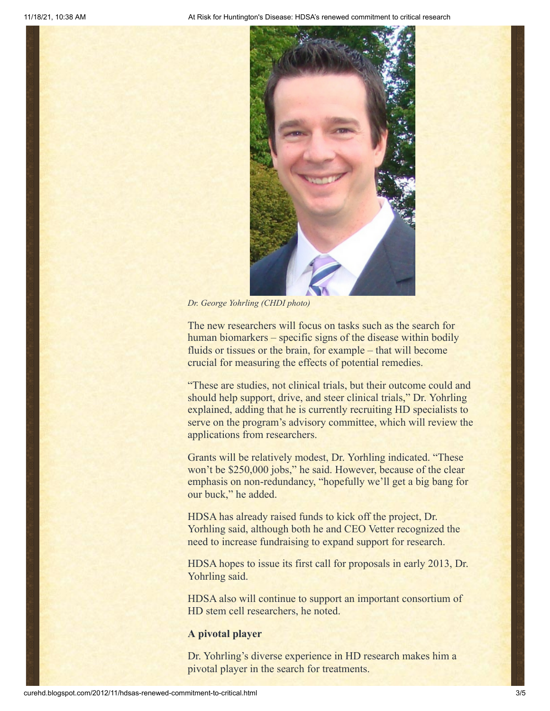

*Dr. George Yohrling (CHDI photo)*

The new researchers will focus on tasks such as the search for human biomarkers – specific signs of the disease within bodily fluids or tissues or the brain, for example – that will become crucial for measuring the effects of potential remedies.

"These are studies, not clinical trials, but their outcome could and should help support, drive, and steer clinical trials," Dr. Yohrling explained, adding that he is currently recruiting HD specialists to serve on the program's advisory committee, which will review the applications from researchers.

Grants will be relatively modest, Dr. Yorhling indicated. "These won't be \$250,000 jobs," he said. However, because of the clear emphasis on non-redundancy, "hopefully we'll get a big bang for our buck," he added.

HDSA has already raised funds to kick off the project, Dr. Yorhling said, although both he and CEO Vetter recognized the need to increase fundraising to expand support for research.

HDSA hopes to issue its first call for proposals in early 2013, Dr. Yohrling said.

HDSA also will continue to support an important consortium of HD stem cell researchers, he noted.

#### **A pivotal player**

Dr. Yohrling's diverse experience in HD research makes him a pivotal player in the search for treatments.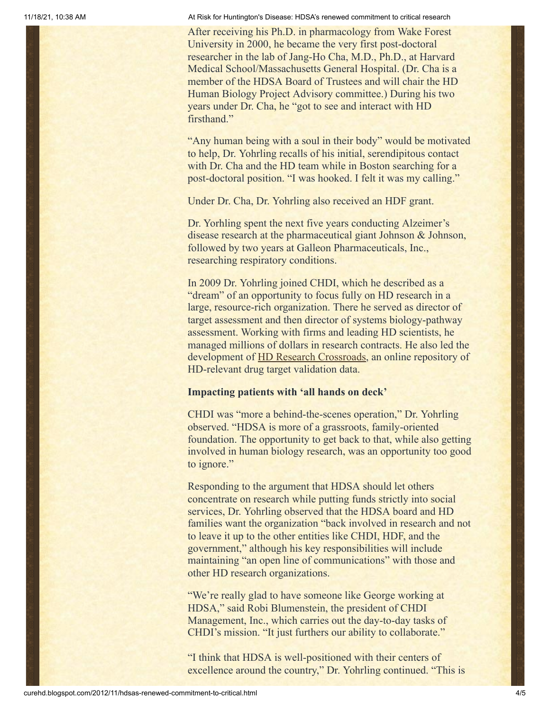11/18/21, 10:38 AM At Risk for Huntington's Disease: HDSA's renewed commitment to critical research

After receiving his Ph.D. in pharmacology from Wake Forest University in 2000, he became the very first post-doctoral researcher in the lab of Jang-Ho Cha, M.D., Ph.D., at Harvard Medical School/Massachusetts General Hospital. (Dr. Cha is a member of the HDSA Board of Trustees and will chair the HD Human Biology Project Advisory committee.) During his two years under Dr. Cha, he "got to see and interact with HD firsthand."

"Any human being with a soul in their body" would be motivated to help, Dr. Yohrling recalls of his initial, serendipitous contact with Dr. Cha and the HD team while in Boston searching for a post-doctoral position. "I was hooked. I felt it was my calling."

Under Dr. Cha, Dr. Yohrling also received an HDF grant.

Dr. Yorhling spent the next five years conducting Alzeimer's disease research at the pharmaceutical giant Johnson & Johnson, followed by two years at Galleon Pharmaceuticals, Inc., researching respiratory conditions.

In 2009 Dr. Yohrling joined CHDI, which he described as a "dream" of an opportunity to focus fully on HD research in a large, resource-rich organization. There he served as director of target assessment and then director of systems biology-pathway assessment. Working with firms and leading HD scientists, he managed millions of dollars in research contracts. He also led the development of [HD Research Crossroads,](http://www.hdresearchcrossroads.org/) an online repository of HD-relevant drug target validation data.

#### **Impacting patients with 'all hands on deck'**

CHDI was "more a behind-the-scenes operation," Dr. Yohrling observed. "HDSA is more of a grassroots, family-oriented foundation. The opportunity to get back to that, while also getting involved in human biology research, was an opportunity too good to ignore."

Responding to the argument that HDSA should let others concentrate on research while putting funds strictly into social services, Dr. Yohrling observed that the HDSA board and HD families want the organization "back involved in research and not to leave it up to the other entities like CHDI, HDF, and the government," although his key responsibilities will include maintaining "an open line of communications" with those and other HD research organizations.

"We're really glad to have someone like George working at HDSA," said Robi Blumenstein, the president of CHDI Management, Inc., which carries out the day-to-day tasks of CHDI's mission. "It just furthers our ability to collaborate."

"I think that HDSA is well-positioned with their centers of excellence around the country," Dr. Yohrling continued. "This is